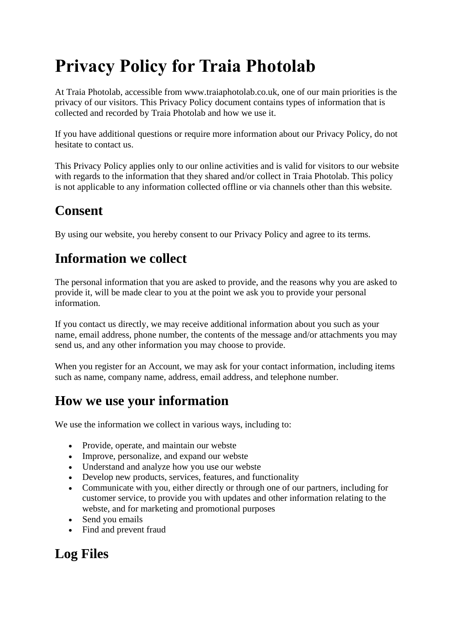# **Privacy Policy for Traia Photolab**

At Traia Photolab, accessible from www.traiaphotolab.co.uk, one of our main priorities is the privacy of our visitors. This Privacy Policy document contains types of information that is collected and recorded by Traia Photolab and how we use it.

If you have additional questions or require more information about our Privacy Policy, do not hesitate to contact us.

This Privacy Policy applies only to our online activities and is valid for visitors to our website with regards to the information that they shared and/or collect in Traia Photolab. This policy is not applicable to any information collected offline or via channels other than this website.

# **Consent**

By using our website, you hereby consent to our Privacy Policy and agree to its terms.

## **Information we collect**

The personal information that you are asked to provide, and the reasons why you are asked to provide it, will be made clear to you at the point we ask you to provide your personal information.

If you contact us directly, we may receive additional information about you such as your name, email address, phone number, the contents of the message and/or attachments you may send us, and any other information you may choose to provide.

When you register for an Account, we may ask for your contact information, including items such as name, company name, address, email address, and telephone number.

# **How we use your information**

We use the information we collect in various ways, including to:

- Provide, operate, and maintain our webste
- Improve, personalize, and expand our webste
- Understand and analyze how you use our webste
- Develop new products, services, features, and functionality
- Communicate with you, either directly or through one of our partners, including for customer service, to provide you with updates and other information relating to the webste, and for marketing and promotional purposes
- Send you emails
- Find and prevent fraud

# **Log Files**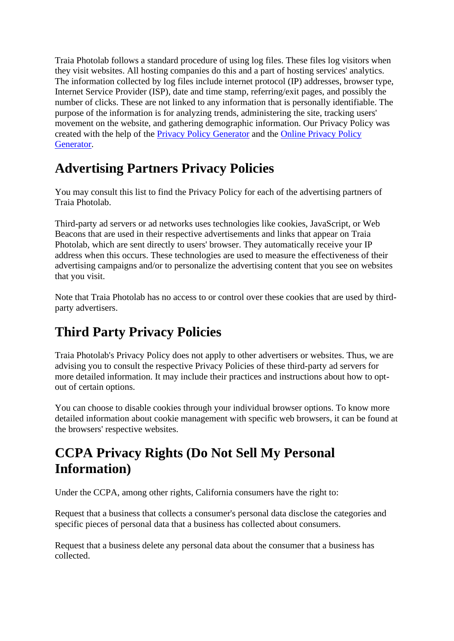Traia Photolab follows a standard procedure of using log files. These files log visitors when they visit websites. All hosting companies do this and a part of hosting services' analytics. The information collected by log files include internet protocol (IP) addresses, browser type, Internet Service Provider (ISP), date and time stamp, referring/exit pages, and possibly the number of clicks. These are not linked to any information that is personally identifiable. The purpose of the information is for analyzing trends, administering the site, tracking users' movement on the website, and gathering demographic information. Our Privacy Policy was created with the help of the [Privacy Policy Generator](https://www.privacypolicygenerator.info/) and the [Online Privacy Policy](https://www.privacypolicyonline.com/privacy-policy-generator/)  [Generator.](https://www.privacypolicyonline.com/privacy-policy-generator/)

## **Advertising Partners Privacy Policies**

You may consult this list to find the Privacy Policy for each of the advertising partners of Traia Photolab.

Third-party ad servers or ad networks uses technologies like cookies, JavaScript, or Web Beacons that are used in their respective advertisements and links that appear on Traia Photolab, which are sent directly to users' browser. They automatically receive your IP address when this occurs. These technologies are used to measure the effectiveness of their advertising campaigns and/or to personalize the advertising content that you see on websites that you visit.

Note that Traia Photolab has no access to or control over these cookies that are used by thirdparty advertisers.

# **Third Party Privacy Policies**

Traia Photolab's Privacy Policy does not apply to other advertisers or websites. Thus, we are advising you to consult the respective Privacy Policies of these third-party ad servers for more detailed information. It may include their practices and instructions about how to optout of certain options.

You can choose to disable cookies through your individual browser options. To know more detailed information about cookie management with specific web browsers, it can be found at the browsers' respective websites.

## **CCPA Privacy Rights (Do Not Sell My Personal Information)**

Under the CCPA, among other rights, California consumers have the right to:

Request that a business that collects a consumer's personal data disclose the categories and specific pieces of personal data that a business has collected about consumers.

Request that a business delete any personal data about the consumer that a business has collected.